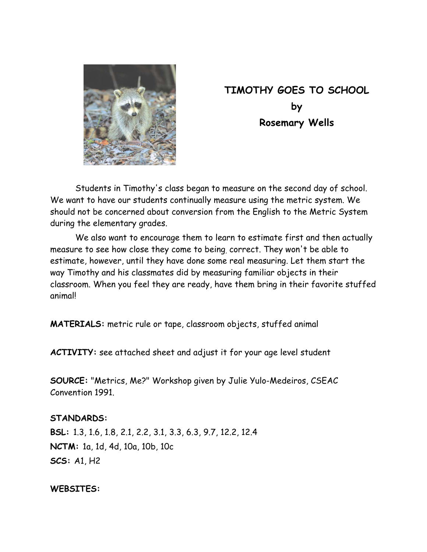

# **TIMOTHY GOES TO SCHOOL by Rosemary Wells**

 Students in Timothy's class began to measure on the second day of school. We want to have our students continually measure using the metric system. We should not be concerned about conversion from the English to the Metric System during the elementary grades.

 We also want to encourage them to learn to estimate first and then actually measure to see how close they come to being, correct. They won't be able to estimate, however, until they have done some real measuring. Let them start the way Timothy and his classmates did by measuring familiar objects in their classroom. When you feel they are ready, have them bring in their favorite stuffed animal!

**MATERIALS:** metric rule or tape, classroom objects, stuffed animal

**ACTIVITY:** see attached sheet and adjust it for your age level student

**SOURCE:** "Metrics, Me?" Workshop given by Julie Yulo-Medeiros, CSEAC Convention 1991.

### **STANDARDS:**

**BSL:** 1.3, 1.6, 1.8, 2.1, 2.2, 3.1, 3.3, 6.3, 9.7, 12.2, 12.4 **NCTM:** 1a, 1d, 4d, 10a, 10b, 10c **SCS:** A1, H2

#### **WEBSITES:**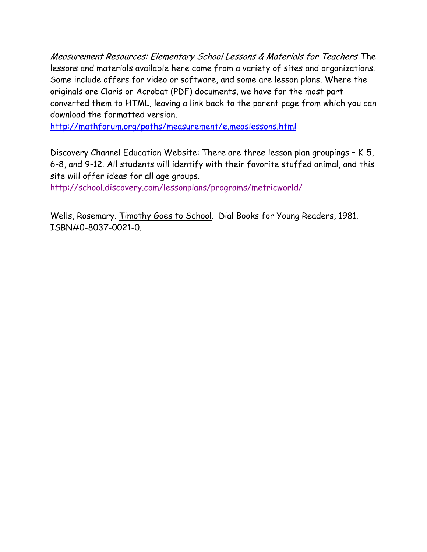Measurement Resources: Elementary School Lessons & Materials for Teachers The lessons and materials available here come from a variety of sites and organizations. Some include offers for video or software, and some are lesson plans. Where the originals are Claris or Acrobat (PDF) documents, we have for the most part converted them to HTML, leaving a link back to the parent page from which you can download the formatted version.

http://mathforum.org/paths/measurement/e.measlessons.html

Discovery Channel Education Website: There are three lesson plan groupings – K-5, 6-8, and 9-12. All students will identify with their favorite stuffed animal, and this site will offer ideas for all age groups.

http://school.discovery.com/lessonplans/programs/metricworld/

Wells, Rosemary. Timothy Goes to School. Dial Books for Young Readers, 1981. ISBN#0-8037-0021-0.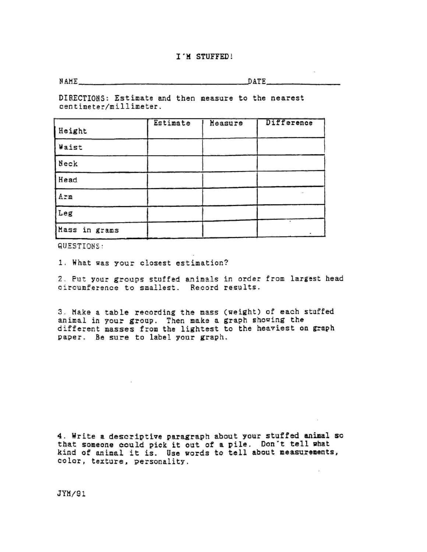#### I'M STUFFED!

NAME<sub>S</sub>

DATE

DIRECTIONS: Estimate and then measure to the nearest centimeter/millimeter.

| Height        | Estimate | Measure | Difference |
|---------------|----------|---------|------------|
| Waist         |          |         |            |
| Neck          |          |         |            |
| Head          |          |         |            |
| Arm           |          |         | $\sim$     |
| Leg           |          |         |            |
| Mass in grams |          |         |            |

QUESTIONS:

1. What was your closest estimation?

2. Put your groups stuffed animals in order from largest head circumference to smallest. Record results.

3. Make a table recording the mass (weight) of each stuffed animal in your group. Then make a graph showing the different masses from the lightest to the heaviest on graph paper. Be sure to label your graph.

4. Write a descriptive paragraph about your stuffed animal so that someone could pick it out of a pile. Don't tell what kind of animal it is. Use words to tell about measurements, color, texture, personality.

JYM/91